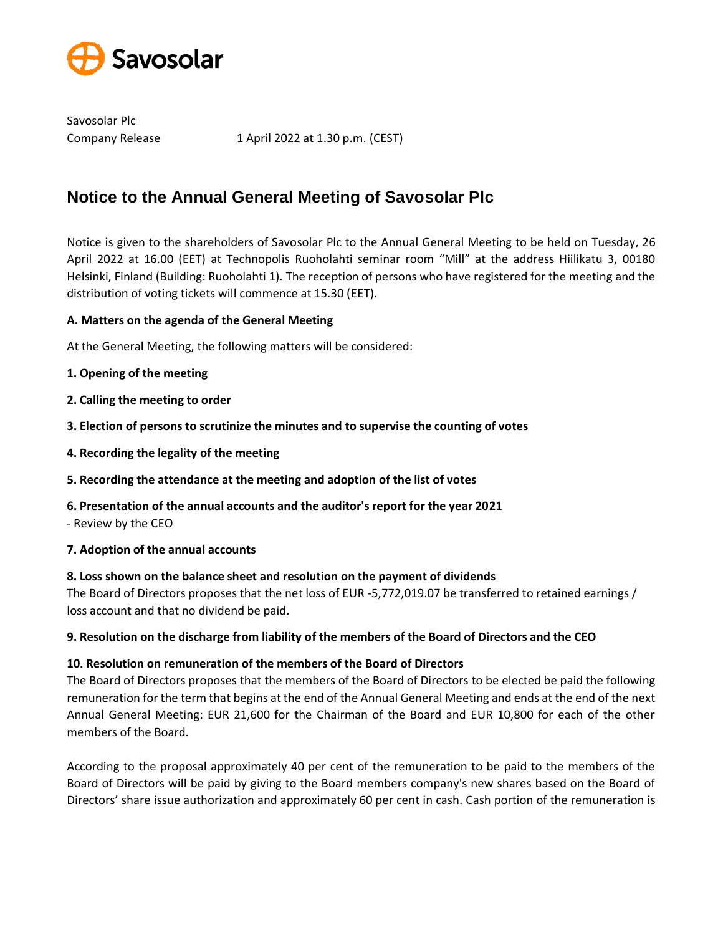

Savosolar Plc

Company Release 1 April 2022 at 1.30 p.m. (CEST)

# **Notice to the Annual General Meeting of Savosolar Plc**

Notice is given to the shareholders of Savosolar Plc to the Annual General Meeting to be held on Tuesday, 26 April 2022 at 16.00 (EET) at Technopolis Ruoholahti seminar room "Mill" at the address Hiilikatu 3, 00180 Helsinki, Finland (Building: Ruoholahti 1). The reception of persons who have registered for the meeting and the distribution of voting tickets will commence at 15.30 (EET).

# **A. Matters on the agenda of the General Meeting**

At the General Meeting, the following matters will be considered:

- **1. Opening of the meeting**
- **2. Calling the meeting to order**
- **3. Election of persons to scrutinize the minutes and to supervise the counting of votes**
- **4. Recording the legality of the meeting**
- **5. Recording the attendance at the meeting and adoption of the list of votes**
- **6. Presentation of the annual accounts and the auditor's report for the year 2021**
- Review by the CEO
- **7. Adoption of the annual accounts**

#### **8. Loss shown on the balance sheet and resolution on the payment of dividends**

The Board of Directors proposes that the net loss of EUR -5,772,019.07 be transferred to retained earnings / loss account and that no dividend be paid.

# **9. Resolution on the discharge from liability of the members of the Board of Directors and the CEO**

#### **10. Resolution on remuneration of the members of the Board of Directors**

The Board of Directors proposes that the members of the Board of Directors to be elected be paid the following remuneration for the term that begins at the end of the Annual General Meeting and ends at the end of the next Annual General Meeting: EUR 21,600 for the Chairman of the Board and EUR 10,800 for each of the other members of the Board.

According to the proposal approximately 40 per cent of the remuneration to be paid to the members of the Board of Directors will be paid by giving to the Board members company's new shares based on the Board of Directors' share issue authorization and approximately 60 per cent in cash. Cash portion of the remuneration is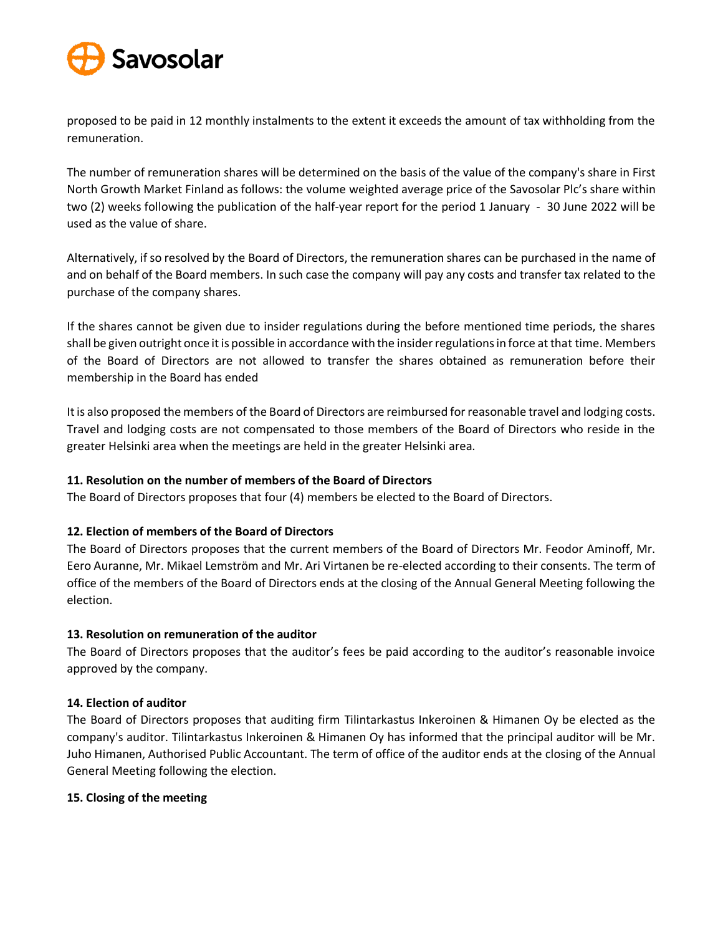

proposed to be paid in 12 monthly instalments to the extent it exceeds the amount of tax withholding from the remuneration.

The number of remuneration shares will be determined on the basis of the value of the company's share in First North Growth Market Finland as follows: the volume weighted average price of the Savosolar Plc's share within two (2) weeks following the publication of the half-year report for the period 1 January - 30 June 2022 will be used as the value of share.

Alternatively, if so resolved by the Board of Directors, the remuneration shares can be purchased in the name of and on behalf of the Board members. In such case the company will pay any costs and transfer tax related to the purchase of the company shares.

If the shares cannot be given due to insider regulations during the before mentioned time periods, the shares shall be given outright once it is possible in accordance with the insider regulations in force at that time. Members of the Board of Directors are not allowed to transfer the shares obtained as remuneration before their membership in the Board has ended

It is also proposed the members of the Board of Directors are reimbursed for reasonable travel and lodging costs. Travel and lodging costs are not compensated to those members of the Board of Directors who reside in the greater Helsinki area when the meetings are held in the greater Helsinki area.

# **11. Resolution on the number of members of the Board of Directors**

The Board of Directors proposes that four (4) members be elected to the Board of Directors.

# **12. Election of members of the Board of Directors**

The Board of Directors proposes that the current members of the Board of Directors Mr. Feodor Aminoff, Mr. Eero Auranne, Mr. Mikael Lemström and Mr. Ari Virtanen be re-elected according to their consents. The term of office of the members of the Board of Directors ends at the closing of the Annual General Meeting following the election.

# **13. Resolution on remuneration of the auditor**

The Board of Directors proposes that the auditor's fees be paid according to the auditor's reasonable invoice approved by the company.

# **14. Election of auditor**

The Board of Directors proposes that auditing firm Tilintarkastus Inkeroinen & Himanen Oy be elected as the company's auditor. Tilintarkastus Inkeroinen & Himanen Oy has informed that the principal auditor will be Mr. Juho Himanen, Authorised Public Accountant. The term of office of the auditor ends at the closing of the Annual General Meeting following the election.

# **15. Closing of the meeting**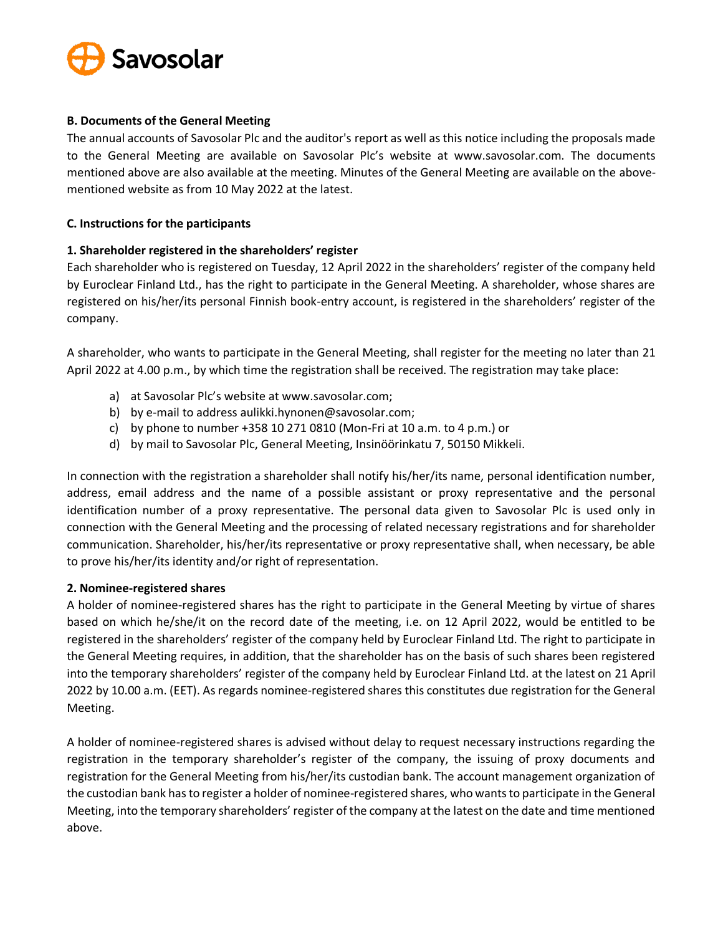

## **B. Documents of the General Meeting**

The annual accounts of Savosolar Plc and the auditor's report as well as this notice including the proposals made to the General Meeting are available on Savosolar Plc's website at www.savosolar.com. The documents mentioned above are also available at the meeting. Minutes of the General Meeting are available on the abovementioned website as from 10 May 2022 at the latest.

## **C. Instructions for the participants**

## **1. Shareholder registered in the shareholders' register**

Each shareholder who is registered on Tuesday, 12 April 2022 in the shareholders' register of the company held by Euroclear Finland Ltd., has the right to participate in the General Meeting. A shareholder, whose shares are registered on his/her/its personal Finnish book-entry account, is registered in the shareholders' register of the company.

A shareholder, who wants to participate in the General Meeting, shall register for the meeting no later than 21 April 2022 at 4.00 p.m., by which time the registration shall be received. The registration may take place:

- a) at Savosolar Plc's website at www.savosolar.com;
- b) by e-mail to address aulikki.hynonen@savosolar.com;
- c) by phone to number +358 10 271 0810 (Mon-Fri at 10 a.m. to 4 p.m.) or
- d) by mail to Savosolar Plc, General Meeting, Insinöörinkatu 7, 50150 Mikkeli.

In connection with the registration a shareholder shall notify his/her/its name, personal identification number, address, email address and the name of a possible assistant or proxy representative and the personal identification number of a proxy representative. The personal data given to Savosolar Plc is used only in connection with the General Meeting and the processing of related necessary registrations and for shareholder communication. Shareholder, his/her/its representative or proxy representative shall, when necessary, be able to prove his/her/its identity and/or right of representation.

#### **2. Nominee-registered shares**

A holder of nominee-registered shares has the right to participate in the General Meeting by virtue of shares based on which he/she/it on the record date of the meeting, i.e. on 12 April 2022, would be entitled to be registered in the shareholders' register of the company held by Euroclear Finland Ltd. The right to participate in the General Meeting requires, in addition, that the shareholder has on the basis of such shares been registered into the temporary shareholders' register of the company held by Euroclear Finland Ltd. at the latest on 21 April 2022 by 10.00 a.m. (EET). As regards nominee-registered shares this constitutes due registration for the General Meeting.

A holder of nominee-registered shares is advised without delay to request necessary instructions regarding the registration in the temporary shareholder's register of the company, the issuing of proxy documents and registration for the General Meeting from his/her/its custodian bank. The account management organization of the custodian bank has to register a holder of nominee-registered shares, who wants to participate in the General Meeting, into the temporary shareholders' register of the company at the latest on the date and time mentioned above.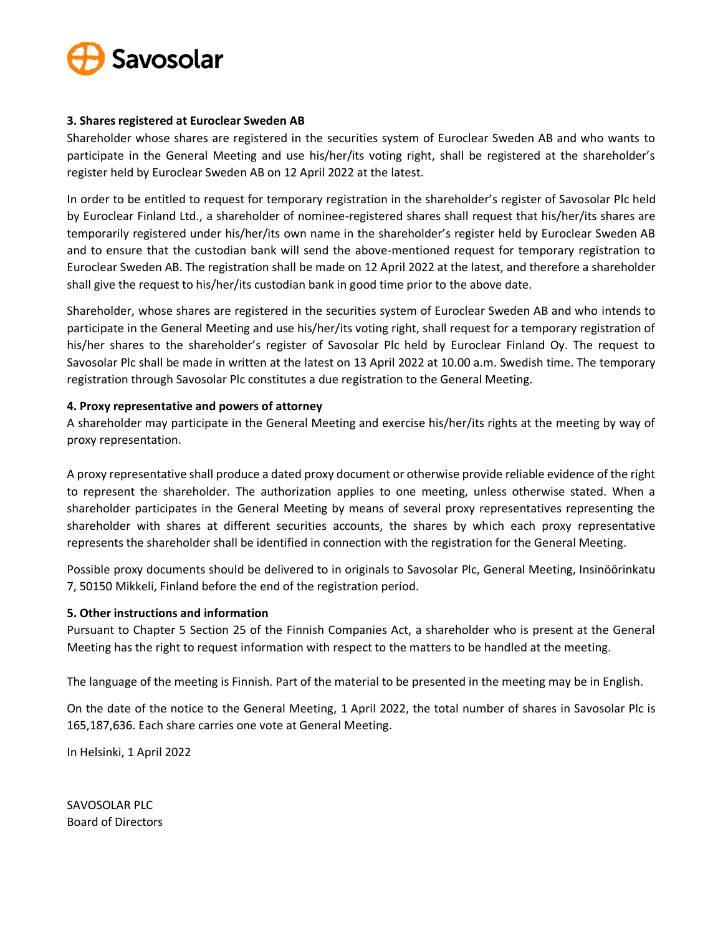

## **3. Shares registered at Euroclear Sweden AB**

Shareholder whose shares are registered in the securities system of Euroclear Sweden AB and who wants to participate in the General Meeting and use his/her/its voting right, shall be registered at the shareholder's register held by Euroclear Sweden AB on 12 April 2022 at the latest.

In order to be entitled to request for temporary registration in the shareholder's register of Savosolar Plc held by Euroclear Finland Ltd., a shareholder of nominee-registered shares shall request that his/her/its shares are temporarily registered under his/her/its own name in the shareholder's register held by Euroclear Sweden AB and to ensure that the custodian bank will send the above-mentioned request for temporary registration to Euroclear Sweden AB. The registration shall be made on 12 April 2022 at the latest, and therefore a shareholder shall give the request to his/her/its custodian bank in good time prior to the above date.

Shareholder, whose shares are registered in the securities system of Euroclear Sweden AB and who intends to participate in the General Meeting and use his/her/its voting right, shall request for a temporary registration of his/her shares to the shareholder's register of Savosolar Plc held by Euroclear Finland Oy. The request to Savosolar Plc shall be made in written at the latest on 13 April 2022 at 10.00 a.m. Swedish time. The temporary registration through Savosolar Plc constitutes a due registration to the General Meeting.

## **4. Proxy representative and powers of attorney**

A shareholder may participate in the General Meeting and exercise his/her/its rights at the meeting by way of proxy representation.

A proxy representative shall produce a dated proxy document or otherwise provide reliable evidence of the right to represent the shareholder. The authorization applies to one meeting, unless otherwise stated. When a shareholder participates in the General Meeting by means of several proxy representatives representing the shareholder with shares at different securities accounts, the shares by which each proxy representative represents the shareholder shall be identified in connection with the registration for the General Meeting.

Possible proxy documents should be delivered to in originals to Savosolar Plc, General Meeting, Insinöörinkatu 7, 50150 Mikkeli, Finland before the end of the registration period.

#### **5. Other instructions and information**

Pursuant to Chapter 5 Section 25 of the Finnish Companies Act, a shareholder who is present at the General Meeting has the right to request information with respect to the matters to be handled at the meeting.

The language of the meeting is Finnish. Part of the material to be presented in the meeting may be in English.

On the date of the notice to the General Meeting, 1 April 2022, the total number of shares in Savosolar Plc is 165,187,636. Each share carries one vote at General Meeting.

In Helsinki, 1 April 2022

SAVOSOLAR PLC Board of Directors